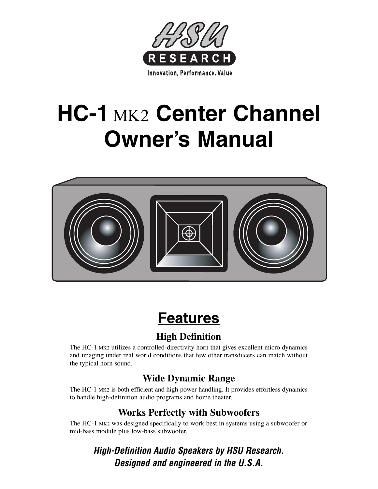

# **HC-1** MK2 **Center Channel Owner's Manual**



# **Features**

## **High Definition**

The HC-1 MK2 utilizes a controlled-directivity horn that gives excellent micro dynamics and imaging under real world conditions that few other transducers can match without the typical horn sound.

## **Wide Dynamic Range**

The HC-1 MK2 is both efficient and high power handling. It provides effortless dynamics to handle high-definition audio programs and home theater.

## **Works Perfectly with Subwoofers**

The HC-1 MK2 was designed specifically to work best in systems using a subwoofer or mid-bass module plus low-bass subwoofer.

*High-Definition Audio Speakers by HSU Research. Designed and engineered in the U.S.A.*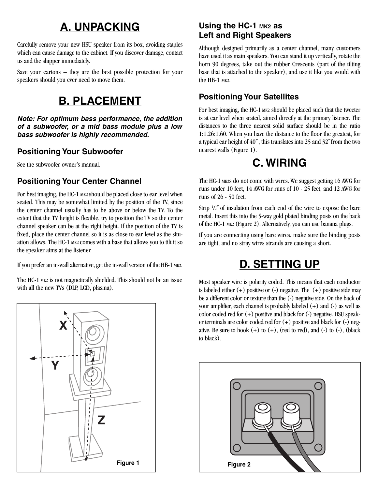## **A. UNPACKING**

Carefully remove your new HSU speaker from its box, avoiding staples which can cause damage to the cabinet. If you discover damage, contact us and the shipper immediately.

Save your cartons – they are the best possible protection for your speakers should you ever need to move them.

## **B. PLACEMENT**

*Note: For optimum bass performance, the addition of a subwoofer, or a mid bass module plus a low bass subwoofer is highly recommended.*

#### **Positioning Your Subwoofer**

See the subwoofer owner's manual.

#### **Positioning Your Center Channel**

For best imaging, the HC-1 MK2 should be placed close to ear level when seated. This may be somewhat limited by the position of the TV, since the center channel usually has to be above or below the TV. To the extent that the TV height is flexible, try to position the TV so the center channel speaker can be at the right height. If the position of the TV is fixed, place the center channel so it is as close to ear level as the situation allows. The HC-1 MK2 comes with a base that allows you to tilt it so the speaker aims at the listener.

If you prefer an in-wall alternative, get the in-wall version of the HB-1 MK2.

The HC-1 MK2 is not magnetically shielded. This should not be an issue with all the new TVs (DLP, LCD, plasma).



#### **Using the HC-1 MK2 as Left and Right Speakers**

Although designed primarily as a center channel, many customers have used it as main speakers. You can stand it up vertically, rotate the horn 90 degrees, take out the rubber Crescents (part of the tilting base that is attached to the speaker), and use it like you would with the HB-1 MK2.

#### **Positioning Your Satellites**

For best imaging, the HC-1 MK2 should be placed such that the tweeter is at ear level when seated, aimed directly at the primary listener. The distances to the three nearest solid surface should be in the ratio 1:1.26:1.60. When you have the distance to the floor the greatest, for a typical ear height of 40<sup> $\degree$ </sup>, this translates into 25 and 32 $\degree$  from the two nearest walls (Figure 1).

## **C. WIRING**

The HC-1 MK2s do not come with wires. We suggest getting 16 AWG for runs under 10 feet, 14 AWG for runs of 10 - 25 feet, and 12 AWG for runs of 26 - 50 feet.

Strip  $\frac{1}{2}$  of insulation from each end of the wire to expose the bare metal. Insert this into the 5-way gold plated binding posts on the back of the HC-1 MK2 (Figure 2). Alternatively, you can use banana plugs.

If you are connecting using bare wires, make sure the binding posts are tight, and no stray wires strands are causing a short.

## **D. SETTING UP**

Most speaker wire is polarity coded. This means that each conductor is labeled either  $(+)$  positive or  $(-)$  negative. The  $(+)$  positive side may be a different color or texture than the (-) negative side. On the back of your amplifier, each channel is probably labeled (+) and (-) as well as color coded red for (+) positive and black for (-) negative. HSU speaker terminals are color coded red for (+) positive and black for (-) negative. Be sure to hook  $(+)$  to  $(+)$ , (red to red), and  $(-)$  to  $(-)$ , (black to black).